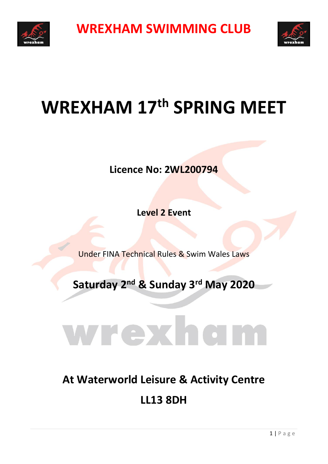



## **WREXHAM 17th SPRING MEET**

**Licence No: 2WL200794**

**Level 2 Event**

Under FINA Technical Rules & Swim Wales Laws

**Saturday 2 nd & Sunday 3rd May 2020**

## Wrex

## **At Waterworld Leisure & Activity Centre LL13 8DH**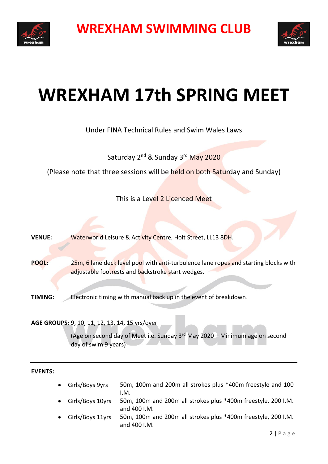



## **WREXHAM 17th SPRING MEET**

Under FINA Technical Rules and Swim Wales Laws

Saturday 2<sup>nd</sup> & Sunday 3<sup>rd</sup> May 2020

(Please note that three sessions will be held on both Saturday and Sunday)

This is a Level 2 Licenced Meet

**VENUE:** Waterworld Leisure & Activity Centre, Holt Street, LL13 8DH.

**POOL:** 25m, 6 lane deck level pool with anti-turbulence lane ropes and starting blocks with adjustable footrests and backstroke start wedges.

**TIMING:** Electronic timing with manual back up in the event of breakdown.

**AGE GROUPS:** 9, 10, 11, 12, 13, 14, 15 yrs/over

(Age on second day of Meet i.e. Sunday 3 rd May 2020 – Minimum age on second day of swim 9 years)

**EVENTS:**

- Girls/Boys 9yrs 50m, 100m and 200m all strokes plus \*400m freestyle and 100 I.M.
- Girls/Boys 10yrs 50m, 100m and 200m all strokes plus \*400m freestyle, 200 I.M. and 400 I.M.
- Girls/Boys 11yrs 50m, 100m and 200m all strokes plus \*400m freestyle, 200 I.M. and 400 I.M.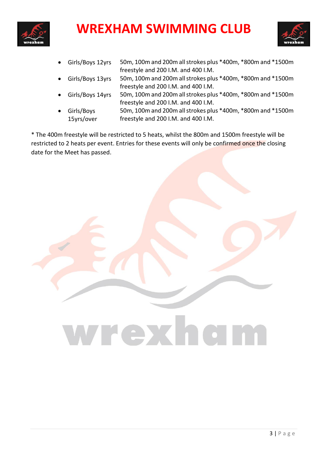



- Girls/Boys 12yrs 50m, 100m and 200m all strokes plus \*400m, \*800m and \*1500m freestyle and 200 I.M. and 400 I.M.
- Girls/Boys 13yrs 50m, 100m and 200m all strokes plus \*400m, \*800m and \*1500m freestyle and 200 I.M. and 400 I.M.
- Girls/Boys 14yrs 50m, 100m and 200m all strokes plus \*400m, \*800m and \*1500m freestyle and 200 I.M. and 400 I.M.
- Girls/Boys 15yrs/over 50m, 100m and 200m all strokes plus \*400m, \*800m and \*1500m freestyle and 200 I.M. and 400 I.M.

\* The 400m freestyle will be restricted to 5 heats, whilst the 800m and 1500m freestyle will be restricted to 2 heats per event. Entries for these events will only be confirmed once the closing date for the Meet has passed.

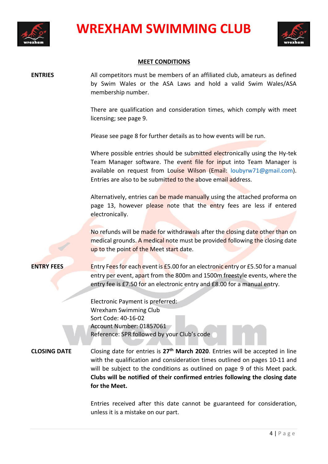



#### **MEET CONDITIONS**

**ENTRIES** All competitors must be members of an affiliated club, amateurs as defined by Swim Wales or the ASA Laws and hold a valid Swim Wales/ASA membership number.

> There are qualification and consideration times, which comply with meet licensing; see page 9.

Please see page 8 for further details as to how events will be run.

Where possible entries should be submitted electronically using the Hy-tek Team Manager software. The event file for input into Team Manager is available on request from Louise Wilson (Email: [loubyrw71@gmail.com\)](mailto:loubyrw71@gmail.com). Entries are also to be submitted to the above email address.

Alternatively, entries can be made manually using the attached proforma on page 13, however please note that the entry fees are less if entered electronically.

No refunds will be made for withdrawals after the closing date other than on medical grounds. A medical note must be provided following the closing date up to the point of the Meet start date.

**ENTRY FEES** Entry Fees for each event is £5.00 for an electronic entry or £5.50 for a manual entry per event, apart from the 800m and 1500m freestyle events, where the entry fee is £7.50 for an electronic entry and £8.00 for a manual entry.

> Electronic Payment is preferred: Wrexham Swimming Club Sort Code: 40-16-02 Account Number: 01857061 Reference: SPR followed by your Club's code

**CLOSING DATE** Closing date for entries is **27th March 2020**. Entries will be accepted in line with the qualification and consideration times outlined on pages 10-11 and will be subject to the conditions as outlined on page 9 of this Meet pack. **Clubs will be notified of their confirmed entries following the closing date for the Meet.**

> Entries received after this date cannot be guaranteed for consideration, unless it is a mistake on our part.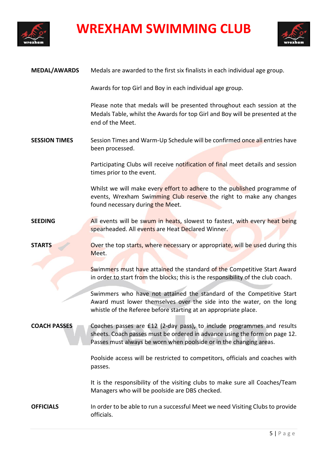



| <b>MEDAL/AWARDS</b>  | Medals are awarded to the first six finalists in each individual age group.                                                                                                                                                |
|----------------------|----------------------------------------------------------------------------------------------------------------------------------------------------------------------------------------------------------------------------|
|                      | Awards for top Girl and Boy in each individual age group.                                                                                                                                                                  |
|                      | Please note that medals will be presented throughout each session at the<br>Medals Table, whilst the Awards for top Girl and Boy will be presented at the<br>end of the Meet.                                              |
| <b>SESSION TIMES</b> | Session Times and Warm-Up Schedule will be confirmed once all entries have<br>been processed.                                                                                                                              |
|                      | Participating Clubs will receive notification of final meet details and session<br>times prior to the event.                                                                                                               |
|                      | Whilst we will make every effort to adhere to the published programme of<br>events, Wrexham Swimming Club reserve the right to make any changes<br>found necessary during the Meet.                                        |
| <b>SEEDING</b>       | All events will be swum in heats, slowest to fastest, with every heat being<br>spearheaded. All events are Heat Declared Winner.                                                                                           |
| <b>STARTS</b>        | Over the top starts, where necessary or appropriate, will be used during this<br>Meet.                                                                                                                                     |
|                      | Swimmers must have attained the standard of the Competitive Start Award<br>in order to start from the blocks; this is the responsibility of the club coach.                                                                |
|                      | Swimmers who have not attained the standard of the Competitive Start<br>Award must lower themselves over the side into the water, on the long<br>whistle of the Referee before starting at an appropriate place.           |
| <b>COACH PASSES</b>  | Coaches passes are £12 (2-day pass), to include programmes and results<br>sheets. Coach passes must be ordered in advance using the form on page 12.<br>Passes must always be worn when poolside or in the changing areas. |
|                      | Poolside access will be restricted to competitors, officials and coaches with<br>passes.                                                                                                                                   |
|                      | It is the responsibility of the visiting clubs to make sure all Coaches/Team<br>Managers who will be poolside are DBS checked.                                                                                             |
| <b>OFFICIALS</b>     | In order to be able to run a successful Meet we need Visiting Clubs to provide<br>officials.                                                                                                                               |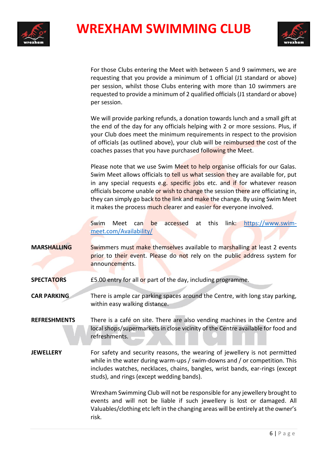



For those Clubs entering the Meet with between 5 and 9 swimmers, we are requesting that you provide a minimum of 1 official (J1 standard or above) per session, whilst those Clubs entering with more than 10 swimmers are requested to provide a minimum of 2 qualified officials (J1 standard or above) per session.

We will provide parking refunds, a donation towards lunch and a small gift at the end of the day for any officials helping with 2 or more sessions. Plus, if your Club does meet the minimum requirements in respect to the provision of officials (as outlined above), your club will be reimbursed the cost of the coaches passes that you have purchased following the Meet.

Please note that we use Swim Meet to help organise officials for our Galas. Swim Meet allows officials to tell us what session they are available for, put in any special requests e.g. specific jobs etc. and if for whatever reason officials become unable or wish to change the session there are officiating in, they can simply go back to the link and make the change. By using Swim Meet it makes the process much clearer and easier for everyone involved.

Swim Meet can be accessed at this link: [https://www.swim](https://www.swim-meet.com/Availability/)[meet.com/Availability/](https://www.swim-meet.com/Availability/)

- **MARSHALLING** Swimmers must make themselves available to marshalling at least 2 events prior to their event. Please do not rely on the public address system for announcements.
- **SPECTATORS** E5.00 entry for all or part of the day, including programme.

**CAR PARKING** There is ample car parking spaces around the Centre, with long stay parking, within easy walking distance.

**REFRESHMENTS** There is a café on site. There are also vending machines in the Centre and local shops/supermarkets in close vicinity of the Centre available for food and refreshments.

**JEWELLERY** For safety and security reasons, the wearing of jewellery is not permitted while in the water during warm-ups / swim-downs and / or competition. This includes watches, necklaces, chains, bangles, wrist bands, ear-rings (except studs), and rings (except wedding bands).

> Wrexham Swimming Club will not be responsible for any jewellery brought to events and will not be liable if such jewellery is lost or damaged. All Valuables/clothing etc left in the changing areas will be entirely at the owner's risk.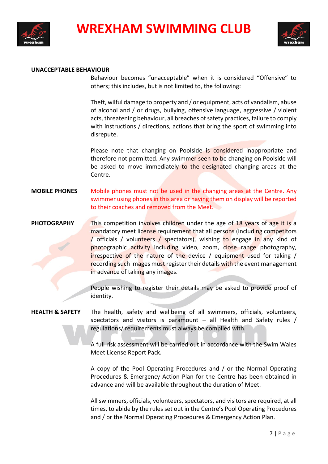



#### **UNACCEPTABLE BEHAVIOUR**

Behaviour becomes "unacceptable" when it is considered "Offensive" to others; this includes, but is not limited to, the following:

Theft, wilful damage to property and / or equipment, acts of vandalism, abuse of alcohol and / or drugs, bullying, offensive language, aggressive / violent acts, threatening behaviour, all breaches of safety practices, failure to comply with instructions / directions, actions that bring the sport of swimming into disrepute.

Please note that changing on Poolside is considered inappropriate and therefore not permitted. Any swimmer seen to be changing on Poolside will be asked to move immediately to the designated changing areas at the Centre.

**MOBILE PHONES** Mobile phones must not be used in the changing areas at the Centre. Any swimmer using phones in this area or having them on display will be reported to their coaches and removed from the Meet.

#### **PHOTOGRAPHY** This competition involves children under the age of 18 years of age it is a mandatory meet license requirement that all persons (including competitors / officials / volunteers / spectators), wishing to engage in any kind of photographic activity including video, zoom, close range photography, irrespective of the nature of the device / equipment used for taking / recording such images must register their details with the event management in advance of taking any images.

People wishing to register their details may be asked to provide proof of identity.

#### **HEALTH & SAFETY** The health, safety and wellbeing of all swimmers, officials, volunteers, spectators and visitors is paramount  $-$  all Health and Safety rules / regulations/ requirements must always be complied with.

A full risk assessment will be carried out in accordance with the Swim Wales Meet License Report Pack.

A copy of the Pool Operating Procedures and / or the Normal Operating Procedures & Emergency Action Plan for the Centre has been obtained in advance and will be available throughout the duration of Meet.

All swimmers, officials, volunteers, spectators, and visitors are required, at all times, to abide by the rules set out in the Centre's Pool Operating Procedures and / or the Normal Operating Procedures & Emergency Action Plan.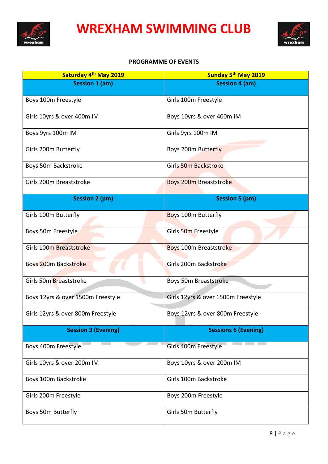



#### **PROGRAMME OF EVENTS**

| Saturday 4 <sup>th</sup> May 2019 | Sunday 5th May 2019                |
|-----------------------------------|------------------------------------|
| <b>Session 1 (am)</b>             | <b>Session 4 (am)</b>              |
| Boys 100m Freestyle               | Girls 100m Freestyle               |
| Girls 10yrs & over 400m IM        | Boys 10yrs & over 400m IM          |
| Boys 9yrs 100m IM                 | Girls 9yrs 100m IM                 |
| Girls 200m Butterfly              | Boys 200m Butterfly                |
| Boys 50m Backstroke               | Girls 50m Backstroke               |
| Girls 200m Breaststroke           | <b>Boys 200m Breaststroke</b>      |
| <b>Session 2 (pm)</b>             | <b>Session 5 (pm)</b>              |
| Girls 100m Butterfly              | <b>Boys 100m Butterfly</b>         |
| Boys 50m Freestyle                | Girls 50m Freestyle                |
| Girls 100m Breaststroke           | Boys 100m Breaststroke             |
| Boys 200m Backstroke              | Girls 200m Backstroke              |
| Girls 50m Breaststroke            | Boys 50m Breaststroke              |
| Boys 12yrs & over 1500m Freestyle | Girls 12yrs & over 1500m Freestyle |
| Girls 12yrs & over 800m Freestyle | Boys 12yrs & over 800m Freestyle   |
| <b>Session 3 (Evening)</b>        | <b>Sessions 6 (Evening)</b>        |
| Boys 400m Freestyle               | Girls 400m Freestyle               |
| Girls 10yrs & over 200m IM        | Boys 10yrs & over 200m IM          |
| Boys 100m Backstroke              | Girls 100m Backstroke              |
| Girls 200m Freestyle              | Boys 200m Freestyle                |
| Boys 50m Butterfly                | Girls 50m Butterfly                |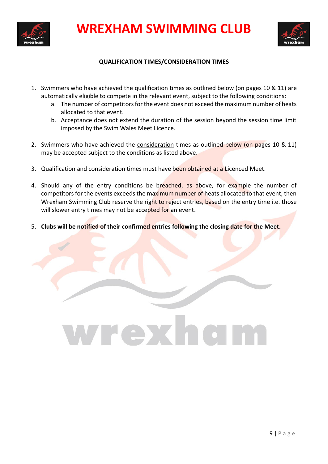



#### **QUALIFICATION TIMES/CONSIDERATION TIMES**

- 1. Swimmers who have achieved the qualification times as outlined below (on pages 10 & 11) are automatically eligible to compete in the relevant event, subject to the following conditions:
	- a. The number of competitors for the event does not exceed the maximum number of heats allocated to that event.
	- b. Acceptance does not extend the duration of the session beyond the session time limit imposed by the Swim Wales Meet Licence.
- 2. Swimmers who have achieved the consideration times as outlined below (on pages 10 & 11) may be accepted subject to the conditions as listed above.
- 3. Qualification and consideration times must have been obtained at a Licenced Meet.
- 4. Should any of the entry conditions be breached, as above, for example the number of competitors for the events exceeds the maximum number of heats allocated to that event, then Wrexham Swimming Club reserve the right to reject entries, based on the entry time i.e. those will slower entry times may not be accepted for an event.
- 5. **Clubs will be notified of their confirmed entries following the closing date for the Meet.**

# WFEX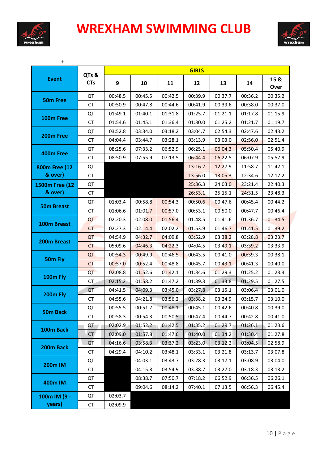



| $\ddot{}$         |                     |         |         |         | <b>GIRLS</b> |         |         |              |
|-------------------|---------------------|---------|---------|---------|--------------|---------|---------|--------------|
| <b>Event</b>      | QTs &<br><b>CTs</b> | 9       | 10      | 11      | 12           | 13      | 14      | 15 &<br>Over |
| <b>50m Free</b>   | QT                  | 00:48.5 | 00:45.5 | 00:42.5 | 00:39.9      | 00:37.7 | 00:36.2 | 00:35.2      |
|                   | <b>CT</b>           | 00:50.9 | 00:47.8 | 00:44.6 | 00:41.9      | 00:39.6 | 00:38.0 | 00:37.0      |
| 100m Free         | QT                  | 01:49.1 | 01:40.1 | 01:31.8 | 01:25.7      | 01:21.1 | 01:17.8 | 01:15.9      |
|                   | <b>CT</b>           | 01:54.6 | 01:45.1 | 01:36.4 | 01:30.0      | 01:25.2 | 01:21.7 | 01:19.7      |
| 200m Free         | QT                  | 03:52.8 | 03:34.0 | 03:18.2 | 03:04.7      | 02:54.3 | 02:47.6 | 02:43.2      |
|                   | <b>CT</b>           | 04:04.4 | 03:44.7 | 03:28.1 | 03:13.9      | 03:03.0 | 02:56.0 | 02:51.4      |
| 400m Free         | QT                  | 08:25.6 | 07:33.2 | 06:52.9 | 06:25.1      | 06:04.3 | 05:50.4 | 05:40.9      |
|                   | СT                  | 08:50.9 | 07:55.9 | 07:13.5 | 06:44.4      | 06:22.5 | 06:07.9 | 05:57.9      |
| 800m Free (12     | QT                  |         |         |         | 13:16.2      | 12:27.9 | 11:58.7 | 11:42.1      |
| & over)           | <b>CT</b>           |         |         |         | 13:56.0      | 13:05.3 | 12:34.6 | 12:17.2      |
| 1500m Free (12    | QT                  |         |         |         | 25:36.3      | 24:03.0 | 23:21.4 | 22:40.3      |
| & over)           | <b>CT</b>           |         |         |         | 26:53.1      | 25:15.1 | 24:31.5 | 23:48.3      |
| <b>50m Breast</b> | QT                  | 01:03.4 | 00:58.8 | 00:54.3 | 00:50.6      | 00:47.6 | 00:45.4 | 00:44.2      |
|                   | СT                  | 01:06.6 | 01:01.7 | 00:57.0 | 00:53.1      | 00:50.0 | 00:47.7 | 00:46.4      |
| 100m Breast       | QT                  | 02:20.3 | 02:08.0 | 01:56.4 | 01:48.5      | 01:41.6 | 01:36.7 | 01:34.5      |
|                   | <b>CT</b>           | 02:27.3 | 02:14.4 | 02:02.2 | 01:53.9      | 01:46.7 | 01:41.5 | 01:39.2      |
| 200m Breast       | QT                  | 04:54.9 | 04:32.7 | 04:09.8 | 03:52.9      | 03:38.2 | 03:28.8 | 03:23.7      |
|                   | <b>CT</b>           | 05:09.6 | 04:46.3 | 04:22.3 | 04:04.5      | 03:49.1 | 03:39.2 | 03:33.9      |
| 50m Fly           | QT                  | 00:54.3 | 00:49.9 | 00:46.5 | 00:43.5      | 00:41.0 | 00:39.3 | 00:38.1      |
|                   | <b>CT</b>           | 00:57.0 | 00:52.4 | 00:48.8 | 00:45.7      | 00:43.1 | 00:41.3 | 00:40.0      |
| 100m Fly          | QT                  | 02:08.8 | 01:52.6 | 01:42.1 | 01:34.6      | 01:29.3 | 01:25.2 | 01:23.3      |
|                   | CT                  | 02:15.2 | 01:58.2 | 01:47.2 | 01:39.3      | 01:33.8 | 01:29.5 | 01:27.5      |
| 200m Fly          | QT                  | 04:41.5 | 04:09.3 | 03:45.0 | 03:27.8      | 03:15.1 | 03:06.4 | 03:01.0      |
|                   | <b>CT</b>           | 04:55.6 | 04:21.8 | 03:56.2 | 03:38.2      | 03:24.9 | 03:15.7 | 03:10.0      |
| <b>50m Back</b>   | QT                  | 00:55.5 | 00:51.7 | 00:48.1 | 00:45.1      | 00:42.6 | 00:40.8 | 00:39.0      |
|                   | СT                  | 00:58.3 | 00:54.3 | 00:50.5 | 00:47.4      | 00:44.7 | 00:42.8 | 00:41.0      |
| 100m Back         | QT                  | 02:02.9 | 01:52.2 | 01:42.5 | 01:35.2      | 01:29.7 | 01:26.1 | 01:23.6      |
|                   | CT                  | 02:09.0 | 01:57.8 | 01:47.6 | 01:40.0      | 01:34.2 | 01:30.4 | 01:27.8      |
| 200m Back         | QT                  | 04:16.6 | 03:58.3 | 03:37.2 | 03:23.0      | 03:12.2 | 03:04.5 | 02:58.9      |
|                   | СT                  | 04:29.4 | 04:10.2 | 03:48.1 | 03:33.1      | 03:21.8 | 03:13.7 | 03:07.8      |
| <b>200m IM</b>    | QT                  |         | 04:03.1 | 03:43.7 | 03:28.3      | 03:17.1 | 03:08.9 | 03:04.0      |
|                   | CT                  |         | 04:15.3 | 03:54.9 | 03:38.7      | 03:27.0 | 03:18.3 | 03:13.2      |
| 400m IM           | QT                  |         | 08:38.7 | 07:50.7 | 07:18.2      | 06:52.9 | 06:36.5 | 06:26.1      |
|                   | <b>CT</b>           |         | 09:04.6 | 08:14.2 | 07:40.1      | 07:13.5 | 06:56.3 | 06:45.4      |
| 100m IM (9 -      | QT                  | 02:03.7 |         |         |              |         |         |              |
| years)            | CT                  | 02:09.9 |         |         |              |         |         |              |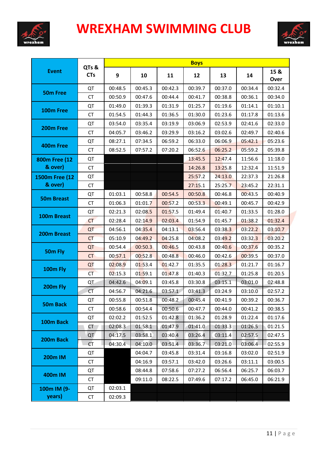



|                            |                     |         |         |         | <b>Boys</b> |         |         |              |
|----------------------------|---------------------|---------|---------|---------|-------------|---------|---------|--------------|
| <b>Event</b>               | QTs &<br><b>CTs</b> | 9       | 10      | 11      | 12          | 13      | 14      | 15 &<br>Over |
| <b>50m Free</b>            | QT                  | 00:48.5 | 00:45.3 | 00:42.3 | 00:39.7     | 00:37.0 | 00:34.4 | 00:32.4      |
|                            | <b>CT</b>           | 00:50.9 | 00:47.6 | 00:44.4 | 00:41.7     | 00:38.8 | 00:36.1 | 00:34.0      |
| 100m Free                  | QT                  | 01:49.0 | 01:39.3 | 01:31.9 | 01:25.7     | 01:19.6 | 01:14.1 | 01:10.1      |
|                            | <b>CT</b>           | 01:54.5 | 01:44.3 | 01:36.5 | 01:30.0     | 01:23.6 | 01:17.8 | 01:13.6      |
| 200m Free                  | QT                  | 03:54.0 | 03:35.4 | 03:19.9 | 03:06.9     | 02:53.9 | 02:41.6 | 02:33.0      |
|                            | <b>CT</b>           | 04:05.7 | 03:46.2 | 03:29.9 | 03:16.2     | 03:02.6 | 02:49.7 | 02:40.6      |
| 400m Free<br>800m Free (12 | QT                  | 08:27.1 | 07:34.5 | 06:59.2 | 06:33.0     | 06:06.9 | 05:42.1 | 05:23.6      |
|                            | <b>CT</b>           | 08:52.5 | 07:57.2 | 07:20.2 | 06:52.6     | 06:25.2 | 05:59.2 | 05:39.8      |
|                            | QT                  |         |         |         | 13:45.5     | 12:47.4 | 11:56.6 | 11:18.0      |
| & over)                    | <b>CT</b>           |         |         |         | 14:26.8     | 13:25.8 | 12:32.4 | 11:51.9      |
| 1500m Free (12             | QT                  |         |         |         | 25:57.2     | 24:13.0 | 22:37.3 | 21:26.8      |
| & over)                    | CT                  |         |         |         | 27:15.1     | 25:25.7 | 23:45.2 | 22:31.1      |
|                            | QT                  | 01:03.1 | 00:58.8 | 00:54.5 | 00:50.8     | 00:46.8 | 00:43.5 | 00:40.9      |
| <b>50m Breast</b>          | <b>CT</b>           | 01:06.3 | 01:01.7 | 00:57.2 | 00:53.3     | 00:49.1 | 00:45.7 | 00:42.9      |
| 100m Breast                | QT                  | 02:21.3 | 02:08.5 | 01:57.5 | 01:49.4     | 01:40.7 | 01:33.5 | 01:28.0      |
|                            | <b>CT</b>           | 02:28.4 | 02:14.9 | 02:03.4 | 01:54.9     | 01:45.7 | 01:38.2 | 01:32.4      |
| 200m Breast                | QT                  | 04:56.1 | 04:35.4 | 04:13.1 | 03:56.4     | 03:38.3 | 03:22.2 | 03:10.7      |
|                            | <b>CT</b>           | 05:10.9 | 04:49.2 | 04:25.8 | 04:08.2     | 03:49.2 | 03:32.3 | 03:20.2      |
| 50m Fly                    | QT                  | 00:54.4 | 00:50.3 | 00:46.5 | 00:43.8     | 00:40.6 | 00:37.6 | 00:35.2      |
|                            | CT                  | 00:57.1 | 00:52.8 | 00:48.8 | 00:46.0     | 00:42.6 | 00:39.5 | 00:37.0      |
|                            | QT                  | 02:08.9 | 01:53.4 | 01:42.7 | 01:35.5     | 01:28.3 | 01:21.7 | 01:16.7      |
| 100m Fly                   | CT                  | 02:15.3 | 01:59.1 | 01:47.8 | 01:40.3     | 01:32.7 | 01:25.8 | 01:20.5      |
|                            | QT                  | 04:42.6 | 04:09.1 | 03:45.8 | 03:30.8     | 03:15.1 | 03:01.0 | 02:48.8      |
| 200m Fly                   | <b>CT</b>           | 04:56.7 | 04:21.6 | 03:57.1 | 03:41.3     | 03:24.9 | 03:10.0 | 02:57.2      |
|                            | QT                  | 00:55.8 | 00:51.8 | 00:48.2 | 00:45.4     | 00:41.9 | 00:39.2 | 00:36.7      |
| 50m Back                   | <b>CT</b>           | 00:58.6 | 00:54.4 | 00:50.6 | 00:47.7     | 00:44.0 | 00:41.2 | 00:38.5      |
| 100m Back                  | QT                  | 02:02.2 | 01:52.5 | 01:42.8 | 01:36.2     | 01:28.9 | 01:22.4 | 01:17.6      |
|                            | СT                  | 02:08.3 | 01:58.1 | 01:47.9 | 01:41.0     | 01:33.3 | 01:26.5 | 01:21.5      |
| 200m Back                  | QT                  | 04:17.5 | 03:58.1 | 03:40.4 | 03:26.4     | 03:11.4 | 02:57.5 | 02:47.5      |
|                            | <b>CT</b>           | 04:30.4 | 04:10.0 | 03:51.4 | 03:36.7     | 03:21.0 | 03:06.4 | 02:55.9      |
| <b>200m IM</b>             | QT                  |         | 04:04.7 | 03:45.8 | 03:31.4     | 03:16.8 | 03:02.0 | 02:51.9      |
|                            | CT                  |         | 04:16.9 | 03:57.1 | 03:42.0     | 03:26.6 | 03:11.1 | 03:00.5      |
|                            | QT                  |         | 08:44.8 | 07:58.6 | 07:27.2     | 06:56.4 | 06:25.7 | 06:03.7      |
| 400m IM                    | CT                  |         | 09:11.0 | 08:22.5 | 07:49.6     | 07:17.2 | 06:45.0 | 06:21.9      |
| 100m IM (9-                | QT                  | 02:03.1 |         |         |             |         |         |              |
| years)                     | CT                  | 02:09.3 |         |         |             |         |         |              |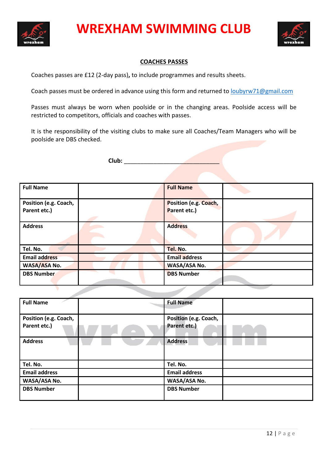



#### **COACHES PASSES**

Coaches passes are £12 (2-day pass)**,** to include programmes and results sheets.

Coach passes must be ordered in advance using this form and returned to **loubyrw71@gmail.com** 

Passes must always be worn when poolside or in the changing areas. Poolside access will be restricted to competitors, officials and coaches with passes.

It is the responsibility of the visiting clubs to make sure all Coaches/Team Managers who will be poolside are DBS checked.

Club:

| <b>Full Name</b>                      | <b>Full Name</b>                      |  |
|---------------------------------------|---------------------------------------|--|
| Position (e.g. Coach,<br>Parent etc.) | Position (e.g. Coach,<br>Parent etc.) |  |
| <b>Address</b>                        | <b>Address</b>                        |  |
| Tel. No.                              | Tel. No.                              |  |
| <b>Email address</b>                  | <b>Email address</b>                  |  |
| WASA/ASA No.                          | <b>WASA/ASA No.</b>                   |  |
| <b>DBS Number</b>                     | <b>DBS Number</b>                     |  |

| <b>Full Name</b>                      | <b>Full Name</b>                      |  |
|---------------------------------------|---------------------------------------|--|
| Position (e.g. Coach,<br>Parent etc.) | Position (e.g. Coach,<br>Parent etc.) |  |
| <b>Address</b>                        | <b>Address</b>                        |  |
| Tel. No.                              | Tel. No.                              |  |
| <b>Email address</b>                  | <b>Email address</b>                  |  |
| WASA/ASA No.                          | WASA/ASA No.                          |  |
| <b>DBS Number</b>                     | <b>DBS Number</b>                     |  |